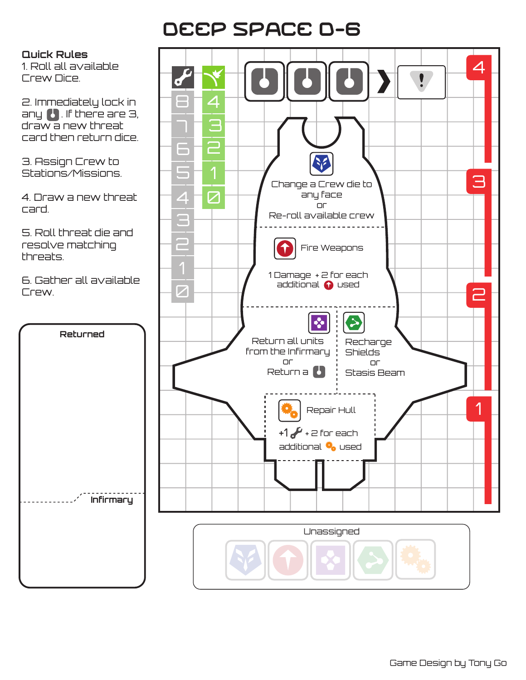## Deep Space D-6

**Quick Rules**

1. Roll all available Crew Dice.

2. Immediately lock in any  $\bullet$  . If there are 3, draw a new threat card then return dice.

3. Assign Crew to Stations/Missions.

4. Draw a new threat card.

5. Roll threat die and resolve matching threats.

6. Gather all available Crew.

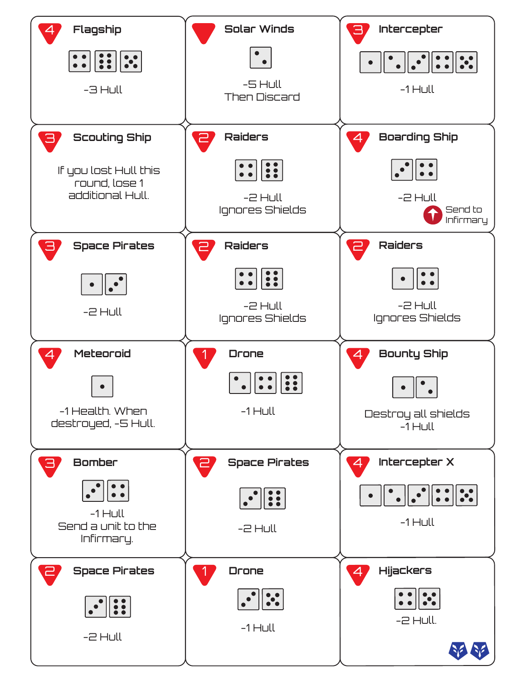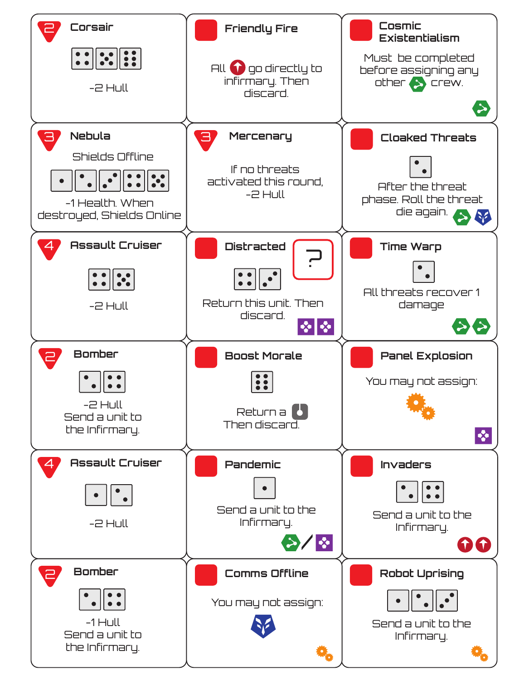